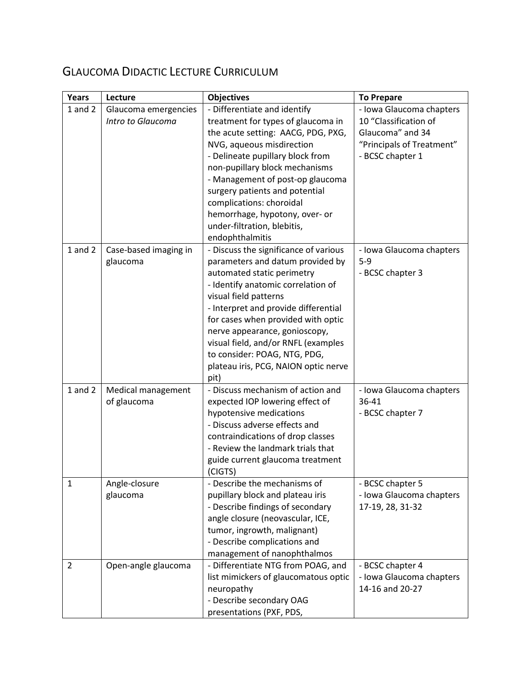# GLAUCOMA DIDACTIC LECTURE CURRICULUM

| Years          | Lecture               | <b>Objectives</b>                                                   | <b>To Prepare</b>         |
|----------------|-----------------------|---------------------------------------------------------------------|---------------------------|
| $1$ and $2$    | Glaucoma emergencies  | - Differentiate and identify                                        | - Iowa Glaucoma chapters  |
|                | Intro to Glaucoma     | treatment for types of glaucoma in                                  | 10 "Classification of     |
|                |                       | the acute setting: AACG, PDG, PXG,                                  | Glaucoma" and 34          |
|                |                       | NVG, aqueous misdirection                                           | "Principals of Treatment" |
|                |                       | - Delineate pupillary block from                                    | - BCSC chapter 1          |
|                |                       | non-pupillary block mechanisms                                      |                           |
|                |                       | - Management of post-op glaucoma                                    |                           |
|                |                       | surgery patients and potential                                      |                           |
|                |                       | complications: choroidal                                            |                           |
|                |                       | hemorrhage, hypotony, over- or                                      |                           |
|                |                       | under-filtration, blebitis,                                         |                           |
|                |                       | endophthalmitis                                                     |                           |
| $1$ and $2$    | Case-based imaging in | - Discuss the significance of various                               | - Iowa Glaucoma chapters  |
|                | glaucoma              | parameters and datum provided by                                    | $5-9$                     |
|                |                       | automated static perimetry                                          | - BCSC chapter 3          |
|                |                       | - Identify anatomic correlation of                                  |                           |
|                |                       | visual field patterns                                               |                           |
|                |                       | - Interpret and provide differential                                |                           |
|                |                       | for cases when provided with optic<br>nerve appearance, gonioscopy, |                           |
|                |                       | visual field, and/or RNFL (examples                                 |                           |
|                |                       | to consider: POAG, NTG, PDG,                                        |                           |
|                |                       | plateau iris, PCG, NAION optic nerve                                |                           |
|                |                       | pit)                                                                |                           |
| $1$ and $2$    | Medical management    | - Discuss mechanism of action and                                   | - Iowa Glaucoma chapters  |
|                | of glaucoma           | expected IOP lowering effect of                                     | 36-41                     |
|                |                       | hypotensive medications                                             | - BCSC chapter 7          |
|                |                       | - Discuss adverse effects and                                       |                           |
|                |                       | contraindications of drop classes                                   |                           |
|                |                       | - Review the landmark trials that                                   |                           |
|                |                       | guide current glaucoma treatment                                    |                           |
|                |                       | (CIGTS)                                                             |                           |
| 1              | Angle-closure         | - Describe the mechanisms of                                        | - BCSC chapter 5          |
|                | glaucoma              | pupillary block and plateau iris                                    | - Iowa Glaucoma chapters  |
|                |                       | - Describe findings of secondary                                    | 17-19, 28, 31-32          |
|                |                       | angle closure (neovascular, ICE,                                    |                           |
|                |                       | tumor, ingrowth, malignant)                                         |                           |
|                |                       | - Describe complications and                                        |                           |
|                |                       | management of nanophthalmos                                         |                           |
| $\overline{2}$ | Open-angle glaucoma   | - Differentiate NTG from POAG, and                                  | - BCSC chapter 4          |
|                |                       | list mimickers of glaucomatous optic                                | - Iowa Glaucoma chapters  |
|                |                       | neuropathy                                                          | 14-16 and 20-27           |
|                |                       | - Describe secondary OAG                                            |                           |
|                |                       | presentations (PXF, PDS,                                            |                           |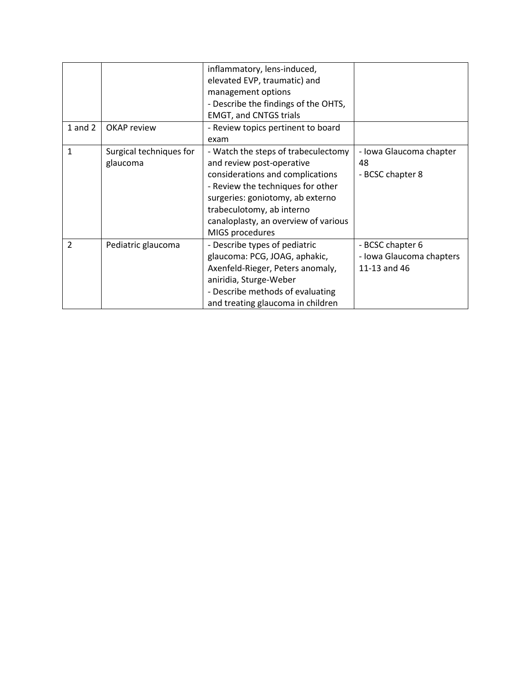|                |                         | inflammatory, lens-induced,          |                          |
|----------------|-------------------------|--------------------------------------|--------------------------|
|                |                         | elevated EVP, traumatic) and         |                          |
|                |                         | management options                   |                          |
|                |                         | - Describe the findings of the OHTS, |                          |
|                |                         | <b>EMGT, and CNTGS trials</b>        |                          |
| $1$ and $2$    | OKAP review             | - Review topics pertinent to board   |                          |
|                |                         | exam                                 |                          |
| 1              | Surgical techniques for | - Watch the steps of trabeculectomy  | - Iowa Glaucoma chapter  |
|                | glaucoma                | and review post-operative            | 48                       |
|                |                         | considerations and complications     | - BCSC chapter 8         |
|                |                         | - Review the techniques for other    |                          |
|                |                         | surgeries: goniotomy, ab externo     |                          |
|                |                         | trabeculotomy, ab interno            |                          |
|                |                         | canaloplasty, an overview of various |                          |
|                |                         | MIGS procedures                      |                          |
| $\overline{2}$ | Pediatric glaucoma      | - Describe types of pediatric        | - BCSC chapter 6         |
|                |                         | glaucoma: PCG, JOAG, aphakic,        | - Iowa Glaucoma chapters |
|                |                         | Axenfeld-Rieger, Peters anomaly,     | 11-13 and 46             |
|                |                         | aniridia, Sturge-Weber               |                          |
|                |                         | - Describe methods of evaluating     |                          |
|                |                         | and treating glaucoma in children    |                          |